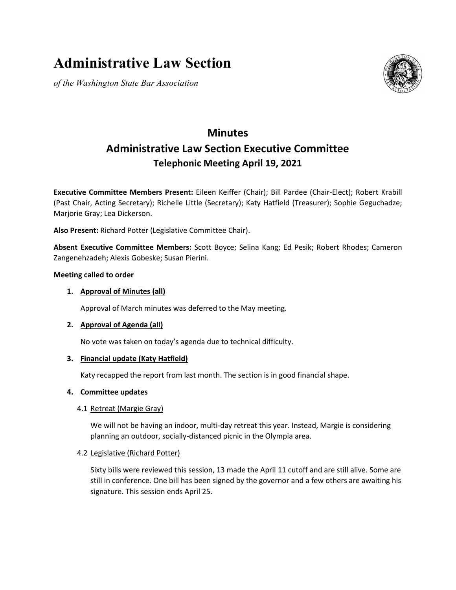# **Administrative Law Section**

*of the Washington State Bar Association*



## **Minutes Administrative Law Section Executive Committee Telephonic Meeting April 19, 2021**

**Executive Committee Members Present:** Eileen Keiffer (Chair); Bill Pardee (Chair-Elect); Robert Krabill (Past Chair, Acting Secretary); Richelle Little (Secretary); Katy Hatfield (Treasurer); Sophie Geguchadze; Marjorie Gray; Lea Dickerson.

**Also Present:** Richard Potter (Legislative Committee Chair).

**Absent Executive Committee Members:** Scott Boyce; Selina Kang; Ed Pesik; Robert Rhodes; Cameron Zangenehzadeh; Alexis Gobeske; Susan Pierini.

#### **Meeting called to order**

#### **1. Approval of Minutes (all)**

Approval of March minutes was deferred to the May meeting.

#### **2. Approval of Agenda (all)**

No vote was taken on today's agenda due to technical difficulty.

#### **3. Financial update (Katy Hatfield)**

Katy recapped the report from last month. The section is in good financial shape.

#### **4. Committee updates**

#### 4.1 Retreat (Margie Gray)

We will not be having an indoor, multi-day retreat this year. Instead, Margie is considering planning an outdoor, socially-distanced picnic in the Olympia area.

#### 4.2 Legislative (Richard Potter)

Sixty bills were reviewed this session, 13 made the April 11 cutoff and are still alive. Some are still in conference. One bill has been signed by the governor and a few others are awaiting his signature. This session ends April 25.